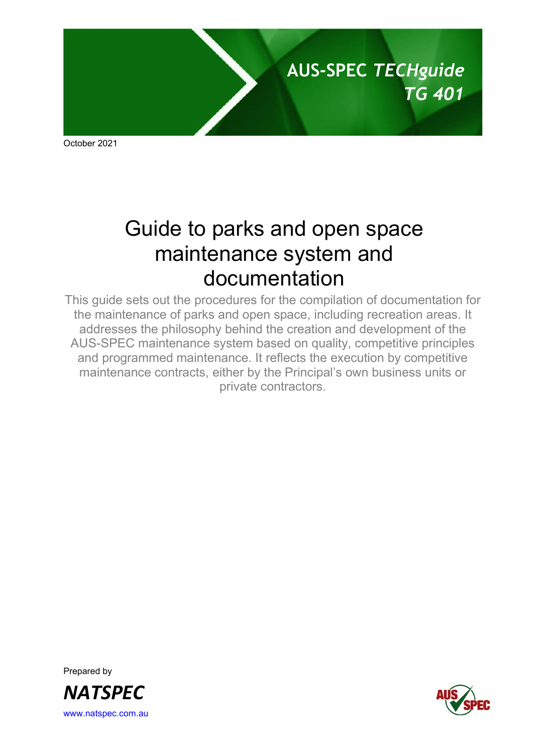

October 2021

# Guide to parks and open space maintenance system and documentation

This guide sets out the procedures for the compilation of documentation for the maintenance of parks and open space, including recreation areas. It addresses the philosophy behind the creation and development of the AUS-SPEC maintenance system based on quality, competitive principles and programmed maintenance. It reflects the execution by competitive maintenance contracts, either by the Principal's own business units or private contractors.

Prepared by *NATSPEC* [www.natspec.com.au](http://www.natspec.com.au/)

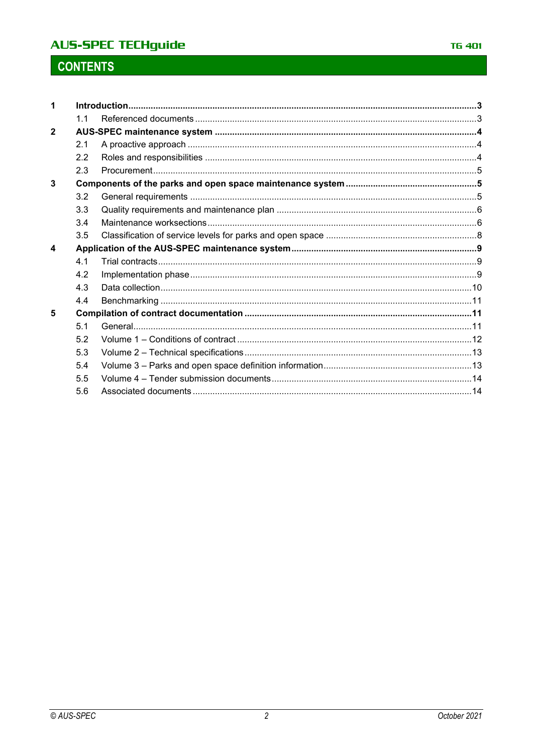## **AUS-SPEC TECHguide**

# **CONTENTS**

|                | 11  |  |  |  |
|----------------|-----|--|--|--|
| $\overline{2}$ |     |  |  |  |
|                | 2.1 |  |  |  |
|                | 2.2 |  |  |  |
|                | 2.3 |  |  |  |
| 3              |     |  |  |  |
|                | 3.2 |  |  |  |
|                | 3.3 |  |  |  |
|                | 3.4 |  |  |  |
|                | 3.5 |  |  |  |
| 4              |     |  |  |  |
|                | 4.1 |  |  |  |
|                | 4.2 |  |  |  |
|                | 4.3 |  |  |  |
|                | 4.4 |  |  |  |
| 5              |     |  |  |  |
|                | 5.1 |  |  |  |
|                | 5.2 |  |  |  |
|                | 5.3 |  |  |  |
|                | 5.4 |  |  |  |
|                | 5.5 |  |  |  |
|                | 5.6 |  |  |  |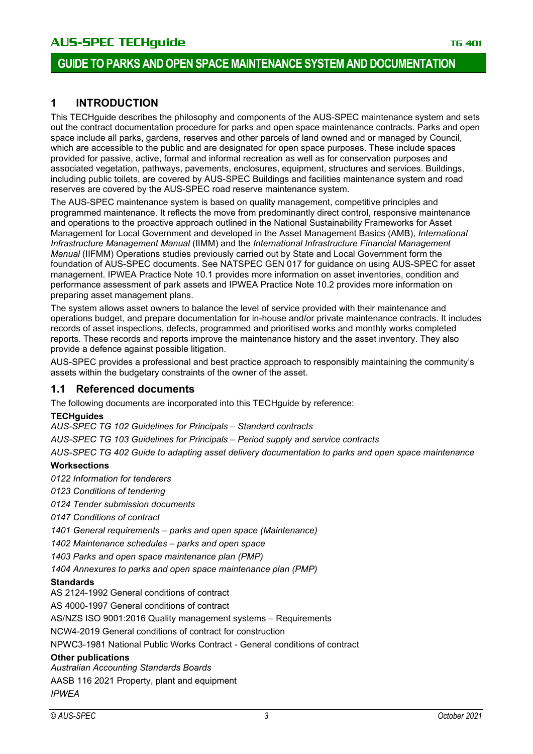### **1 INTRODUCTION**

This TECHguide describes the philosophy and components of the AUS-SPEC maintenance system and sets out the contract documentation procedure for parks and open space maintenance contracts. Parks and open space include all parks, gardens, reserves and other parcels of land owned and or managed by Council, which are accessible to the public and are designated for open space purposes. These include spaces provided for passive, active, formal and informal recreation as well as for conservation purposes and associated vegetation, pathways, pavements, enclosures, equipment, structures and services. Buildings, including public toilets, are covered by AUS-SPEC Buildings and facilities maintenance system and road reserves are covered by the AUS-SPEC road reserve maintenance system.

The AUS-SPEC maintenance system is based on quality management, competitive principles and programmed maintenance. It reflects the move from predominantly direct control, responsive maintenance and operations to the proactive approach outlined in the National Sustainability Frameworks for Asset Management for Local Government and developed in the Asset Management Basics (AMB), *International Infrastructure Management Manual* (IIMM) and the *International Infrastructure Financial Management Manual* (IIFMM) Operations studies previously carried out by State and Local Government form the foundation of AUS-SPEC documents. See NATSPEC GEN 017 for guidance on using AUS-SPEC for asset management. IPWEA Practice Note 10.1 provides more information on asset inventories, condition and performance assessment of park assets and IPWEA Practice Note 10.2 provides more information on preparing asset management plans.

The system allows asset owners to balance the level of service provided with their maintenance and operations budget, and prepare documentation for in-house and/or private maintenance contracts. It includes records of asset inspections, defects, programmed and prioritised works and monthly works completed reports. These records and reports improve the maintenance history and the asset inventory. They also provide a defence against possible litigation.

AUS-SPEC provides a professional and best practice approach to responsibly maintaining the community's assets within the budgetary constraints of the owner of the asset.

#### **1.1 Referenced documents**

The following documents are incorporated into this TECHguide by reference:

#### **TECHguides**

*AUS-SPEC TG 102 Guidelines for Principals – Standard contracts*

*AUS-SPEC TG 103 Guidelines for Principals – Period supply and service contracts*

*AUS-SPEC TG 402 Guide to adapting asset delivery documentation to parks and open space maintenance*

#### **Worksections**

*0122 Information for tenderers*

*0123 Conditions of tendering*

*0124 Tender submission documents*

*0147 Conditions of contract*

*1401 General requirements – parks and open space (Maintenance)*

*1402 Maintenance schedules – parks and open space* 

*1403 Parks and open space maintenance plan (PMP)*

*1404 Annexures to parks and open space maintenance plan (PMP)*

#### **Standards**

AS 2124-1992 General conditions of contract

AS 4000-1997 General conditions of contract

AS/NZS ISO 9001:2016 Quality management systems – Requirements

NCW4-2019 General conditions of contract for construction

NPWC3-1981 National Public Works Contract - General conditions of contract

#### **Other publications**

*Australian Accounting Standards Boards*

AASB 116 2021 Property, plant and equipment

*IPWEA*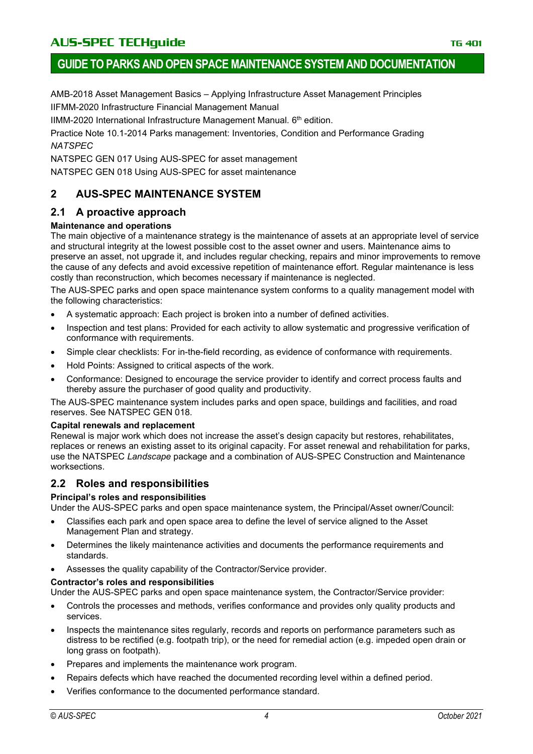AMB-2018 Asset Management Basics – Applying Infrastructure Asset Management Principles IIFMM-2020 Infrastructure Financial Management Manual

IIMM-2020 International Infrastructure Management Manual.  $6<sup>th</sup>$  edition.

Practice Note 10.1-2014 Parks management: Inventories, Condition and Performance Grading *NATSPEC*

NATSPEC GEN 017 Using AUS-SPEC for asset management

NATSPEC GEN 018 Using AUS-SPEC for asset maintenance

### **2 AUS-SPEC MAINTENANCE SYSTEM**

### **2.1 A proactive approach**

#### **Maintenance and operations**

The main objective of a maintenance strategy is the maintenance of assets at an appropriate level of service and structural integrity at the lowest possible cost to the asset owner and users. Maintenance aims to preserve an asset, not upgrade it, and includes regular checking, repairs and minor improvements to remove the cause of any defects and avoid excessive repetition of maintenance effort. Regular maintenance is less costly than reconstruction, which becomes necessary if maintenance is neglected.

The AUS-SPEC parks and open space maintenance system conforms to a quality management model with the following characteristics:

- A systematic approach: Each project is broken into a number of defined activities.
- Inspection and test plans: Provided for each activity to allow systematic and progressive verification of conformance with requirements.
- Simple clear checklists: For in-the-field recording, as evidence of conformance with requirements.
- Hold Points: Assigned to critical aspects of the work.
- Conformance: Designed to encourage the service provider to identify and correct process faults and thereby assure the purchaser of good quality and productivity.

The AUS-SPEC maintenance system includes parks and open space, buildings and facilities, and road reserves. See NATSPEC GEN 018.

#### **Capital renewals and replacement**

Renewal is major work which does not increase the asset's design capacity but restores, rehabilitates, replaces or renews an existing asset to its original capacity. For asset renewal and rehabilitation for parks, use the NATSPEC *Landscape* package and a combination of AUS-SPEC Construction and Maintenance worksections.

### **2.2 Roles and responsibilities**

#### **Principal's roles and responsibilities**

Under the AUS-SPEC parks and open space maintenance system, the Principal/Asset owner/Council:

- Classifies each park and open space area to define the level of service aligned to the Asset Management Plan and strategy.
- Determines the likely maintenance activities and documents the performance requirements and standards.
- Assesses the quality capability of the Contractor/Service provider.

#### **Contractor's roles and responsibilities**

Under the AUS-SPEC parks and open space maintenance system, the Contractor/Service provider:

- Controls the processes and methods, verifies conformance and provides only quality products and services.
- Inspects the maintenance sites regularly, records and reports on performance parameters such as distress to be rectified (e.g. footpath trip), or the need for remedial action (e.g. impeded open drain or long grass on footpath).
- Prepares and implements the maintenance work program.
- Repairs defects which have reached the documented recording level within a defined period.
- Verifies conformance to the documented performance standard.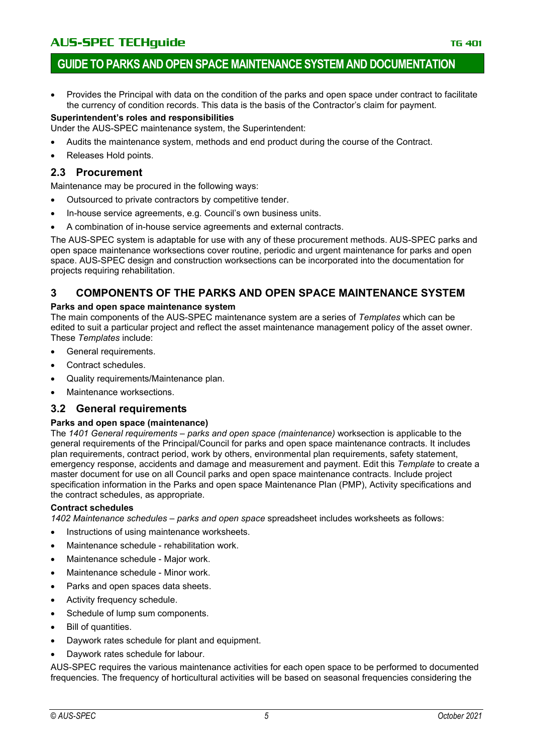### **GUIDE TO PARKS AND OPEN SPACE MAINTENANCE SYSTEM AND DOCUMENTATION**

• Provides the Principal with data on the condition of the parks and open space under contract to facilitate the currency of condition records. This data is the basis of the Contractor's claim for payment.

#### **Superintendent's roles and responsibilities**

Under the AUS-SPEC maintenance system, the Superintendent:

- Audits the maintenance system, methods and end product during the course of the Contract.
- Releases Hold points.

#### **2.3 Procurement**

Maintenance may be procured in the following ways:

- Outsourced to private contractors by competitive tender.
- In-house service agreements, e.g. Council's own business units.
- A combination of in-house service agreements and external contracts.

The AUS-SPEC system is adaptable for use with any of these procurement methods. AUS-SPEC parks and open space maintenance worksections cover routine, periodic and urgent maintenance for parks and open space. AUS-SPEC design and construction worksections can be incorporated into the documentation for projects requiring rehabilitation.

### **3 COMPONENTS OF THE PARKS AND OPEN SPACE MAINTENANCE SYSTEM**

#### **Parks and open space maintenance system**

The main components of the AUS-SPEC maintenance system are a series of *Templates* which can be edited to suit a particular project and reflect the asset maintenance management policy of the asset owner. These *Templates* include:

- General requirements.
- Contract schedules.
- Quality requirements/Maintenance plan.
- Maintenance worksections.

#### **3.2 General requirements**

#### **Parks and open space (maintenance)**

The *1401 General requirements – parks and open space (maintenance)* worksection is applicable to the general requirements of the Principal/Council for parks and open space maintenance contracts. It includes plan requirements, contract period, work by others, environmental plan requirements, safety statement, emergency response, accidents and damage and measurement and payment. Edit this *Template* to create a master document for use on all Council parks and open space maintenance contracts. Include project specification information in the Parks and open space Maintenance Plan (PMP), Activity specifications and the contract schedules, as appropriate.

#### **Contract schedules**

*1402 Maintenance schedules – parks and open space* spreadsheet includes worksheets as follows:

- Instructions of using maintenance worksheets.
- Maintenance schedule rehabilitation work.
- Maintenance schedule Major work.
- Maintenance schedule Minor work.
- Parks and open spaces data sheets.
- Activity frequency schedule.
- Schedule of lump sum components.
- Bill of quantities.
- Daywork rates schedule for plant and equipment.
- Daywork rates schedule for labour.

AUS-SPEC requires the various maintenance activities for each open space to be performed to documented frequencies. The frequency of horticultural activities will be based on seasonal frequencies considering the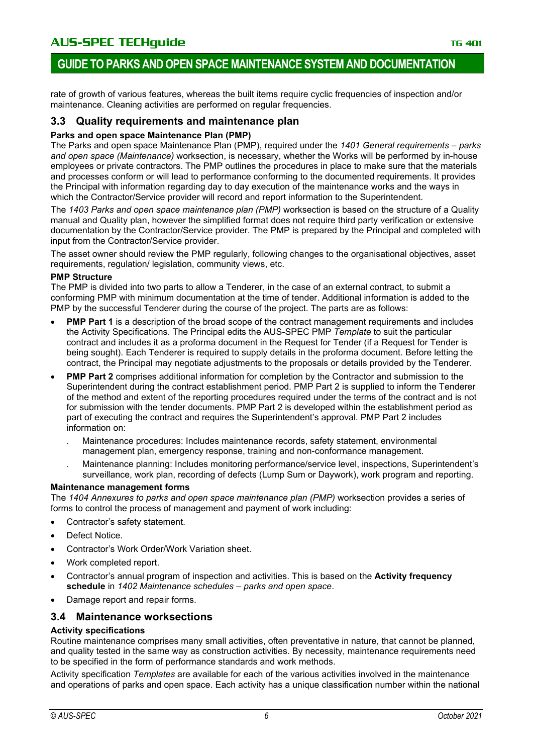### **GUIDE TO PARKS AND OPEN SPACE MAINTENANCE SYSTEM AND DOCUMENTATION**

rate of growth of various features, whereas the built items require cyclic frequencies of inspection and/or maintenance. Cleaning activities are performed on regular frequencies.

#### **3.3 Quality requirements and maintenance plan**

#### **Parks and open space Maintenance Plan (PMP)**

The Parks and open space Maintenance Plan (PMP), required under the *1401 General requirements – parks and open space (Maintenance)* worksection, is necessary, whether the Works will be performed by in-house employees or private contractors. The PMP outlines the procedures in place to make sure that the materials and processes conform or will lead to performance conforming to the documented requirements. It provides the Principal with information regarding day to day execution of the maintenance works and the ways in which the Contractor/Service provider will record and report information to the Superintendent.

The *1403 Parks and open space maintenance plan (PMP)* worksection is based on the structure of a Quality manual and Quality plan, however the simplified format does not require third party verification or extensive documentation by the Contractor/Service provider. The PMP is prepared by the Principal and completed with input from the Contractor/Service provider.

The asset owner should review the PMP regularly, following changes to the organisational objectives, asset requirements, regulation/ legislation, community views, etc.

#### **PMP Structure**

The PMP is divided into two parts to allow a Tenderer, in the case of an external contract, to submit a conforming PMP with minimum documentation at the time of tender. Additional information is added to the PMP by the successful Tenderer during the course of the project. The parts are as follows:

- **PMP Part 1** is a description of the broad scope of the contract management requirements and includes the Activity Specifications. The Principal edits the AUS-SPEC PMP *Template* to suit the particular contract and includes it as a proforma document in the Request for Tender (if a Request for Tender is being sought). Each Tenderer is required to supply details in the proforma document. Before letting the contract, the Principal may negotiate adjustments to the proposals or details provided by the Tenderer.
- **PMP Part 2** comprises additional information for completion by the Contractor and submission to the Superintendent during the contract establishment period. PMP Part 2 is supplied to inform the Tenderer of the method and extent of the reporting procedures required under the terms of the contract and is not for submission with the tender documents. PMP Part 2 is developed within the establishment period as part of executing the contract and requires the Superintendent's approval. PMP Part 2 includes information on:
	- . Maintenance procedures: Includes maintenance records, safety statement, environmental management plan, emergency response, training and non-conformance management.
	- . Maintenance planning: Includes monitoring performance/service level, inspections, Superintendent's surveillance, work plan, recording of defects (Lump Sum or Daywork), work program and reporting.

#### **Maintenance management forms**

The *1404 Annexures to parks and open space maintenance plan (PMP)* worksection provides a series of forms to control the process of management and payment of work including:

- Contractor's safety statement.
- Defect Notice.
- Contractor's Work Order/Work Variation sheet.
- Work completed report.
- Contractor's annual program of inspection and activities. This is based on the **Activity frequency schedule** in *1402 Maintenance schedules – parks and open space*.
- Damage report and repair forms.

#### **3.4 Maintenance worksections**

#### **Activity specifications**

Routine maintenance comprises many small activities, often preventative in nature, that cannot be planned, and quality tested in the same way as construction activities. By necessity, maintenance requirements need to be specified in the form of performance standards and work methods.

Activity specification *Templates* are available for each of the various activities involved in the maintenance and operations of parks and open space. Each activity has a unique classification number within the national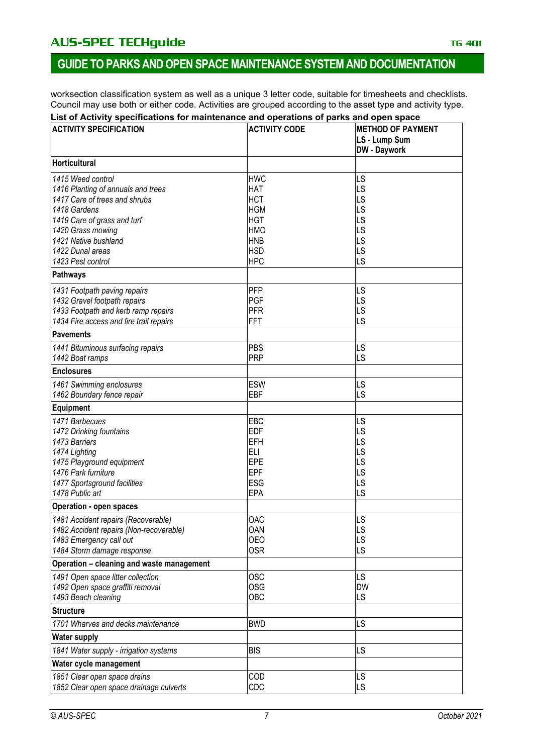### AU**S-SPEC TECHguide** The Contract of the Contract of the Contract of the Contract of the Contract of the Contract of the Contract of the Contract of the Contract of the Contract of the Contract of the Contract of the Contr

### **GUIDE TO PARKS AND OPEN SPACE MAINTENANCE SYSTEM AND DOCUMENTATION**

worksection classification system as well as a unique 3 letter code, suitable for timesheets and checklists. Council may use both or either code. Activities are grouped according to the asset type and activity type.

#### **List of Activity specifications for maintenance and operations of parks and open space**

| <b>ACTIVITY SPECIFICATION</b>                           | <b>ACTIVITY CODE</b> | <b>METHOD OF PAYMENT</b><br>LS - Lump Sum<br><b>DW</b> - Daywork |
|---------------------------------------------------------|----------------------|------------------------------------------------------------------|
| <b>Horticultural</b>                                    |                      |                                                                  |
| 1415 Weed control                                       | <b>HWC</b>           | LS                                                               |
| 1416 Planting of annuals and trees                      | <b>HAT</b>           | LS                                                               |
| 1417 Care of trees and shrubs                           | <b>HCT</b>           | LS                                                               |
| 1418 Gardens                                            | <b>HGM</b>           | LS                                                               |
| 1419 Care of grass and turf                             | <b>HGT</b>           | LS                                                               |
| 1420 Grass mowing                                       | <b>HMO</b>           | LS                                                               |
| 1421 Native bushland                                    | <b>HNB</b>           | LS                                                               |
| 1422 Dunal areas                                        | <b>HSD</b>           | LS                                                               |
| 1423 Pest control                                       | <b>HPC</b>           | LS                                                               |
| Pathways                                                |                      |                                                                  |
| 1431 Footpath paving repairs                            | PFP                  | LS                                                               |
| 1432 Gravel footpath repairs                            | <b>PGF</b>           | LS                                                               |
| 1433 Footpath and kerb ramp repairs                     | <b>PFR</b>           | LS                                                               |
| 1434 Fire access and fire trail repairs                 | <b>FFT</b>           | LS                                                               |
| <b>Pavements</b>                                        |                      |                                                                  |
| 1441 Bituminous surfacing repairs                       | PBS                  | LS                                                               |
| 1442 Boat ramps                                         | <b>PRP</b>           | LS                                                               |
| <b>Enclosures</b>                                       |                      |                                                                  |
| 1461 Swimming enclosures                                | <b>ESW</b>           | LS                                                               |
| 1462 Boundary fence repair                              | EBF                  | LS                                                               |
| <b>Equipment</b>                                        |                      |                                                                  |
| 1471 Barbecues                                          | EBC                  | LS                                                               |
| 1472 Drinking fountains                                 | <b>EDF</b>           | LS                                                               |
| 1473 Barriers                                           | <b>EFH</b>           | LS                                                               |
| 1474 Lighting                                           | <b>ELI</b>           | LS                                                               |
| 1475 Playground equipment                               | <b>EPE</b>           | LS                                                               |
| 1476 Park furniture                                     | <b>EPF</b>           | LS                                                               |
| 1477 Sportsground facilities                            | ESG                  | LS                                                               |
| 1478 Public art                                         | <b>EPA</b>           | LS                                                               |
| <b>Operation - open spaces</b>                          |                      |                                                                  |
| 1481 Accident repairs (Recoverable)                     | OAC                  | LS                                                               |
| 1482 Accident repairs (Non-recoverable)                 | OAN                  | LS                                                               |
| 1483 Emergency call out                                 | <b>OEO</b>           | LS                                                               |
| 1484 Storm damage response                              | <b>OSR</b>           | LS                                                               |
| Operation - cleaning and waste management               | <b>OSC</b>           | LS                                                               |
| 1491 Open space litter collection                       | <b>OSG</b>           | <b>DW</b>                                                        |
| 1492 Open space graffiti removal<br>1493 Beach cleaning | OBC                  |                                                                  |
|                                                         |                      | LS                                                               |
| <b>Structure</b>                                        |                      |                                                                  |
| 1701 Wharves and decks maintenance                      | <b>BWD</b>           | LS                                                               |
| <b>Water supply</b>                                     |                      |                                                                  |
| 1841 Water supply - irrigation systems                  | <b>BIS</b>           | LS                                                               |
| Water cycle management                                  |                      |                                                                  |
| 1851 Clear open space drains                            | COD                  | LS                                                               |
| 1852 Clear open space drainage culverts                 | CDC                  | LS                                                               |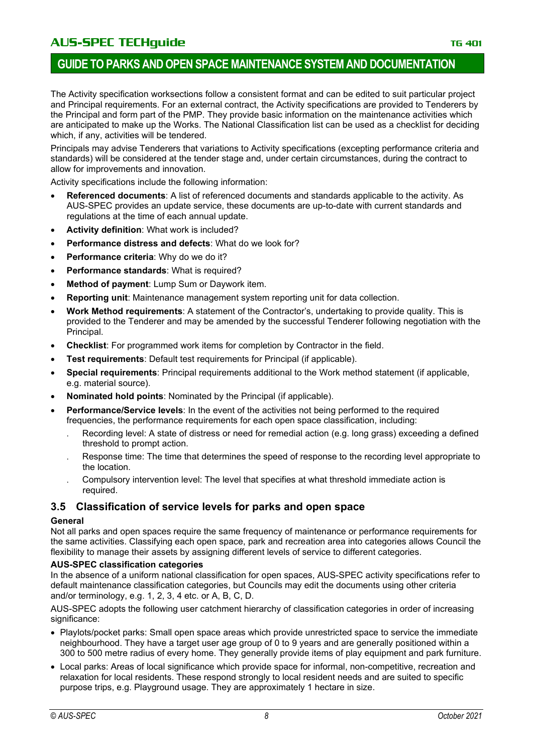### **GUIDE TO PARKS AND OPEN SPACE MAINTENANCE SYSTEM AND DOCUMENTATION**

The Activity specification worksections follow a consistent format and can be edited to suit particular project and Principal requirements. For an external contract, the Activity specifications are provided to Tenderers by the Principal and form part of the PMP. They provide basic information on the maintenance activities which are anticipated to make up the Works. The National Classification list can be used as a checklist for deciding which, if any, activities will be tendered.

Principals may advise Tenderers that variations to Activity specifications (excepting performance criteria and standards) will be considered at the tender stage and, under certain circumstances, during the contract to allow for improvements and innovation.

Activity specifications include the following information:

- **Referenced documents**: A list of referenced documents and standards applicable to the activity. As AUS-SPEC provides an update service, these documents are up-to-date with current standards and regulations at the time of each annual update.
- **Activity definition**: What work is included?
- **Performance distress and defects**: What do we look for?
- **Performance criteria**: Why do we do it?
- **Performance standards**: What is required?
- **Method of payment:** Lump Sum or Daywork item.
- **Reporting unit**: Maintenance management system reporting unit for data collection.
- **Work Method requirements**: A statement of the Contractor's, undertaking to provide quality. This is provided to the Tenderer and may be amended by the successful Tenderer following negotiation with the Principal.
- **Checklist**: For programmed work items for completion by Contractor in the field.
- **Test requirements:** Default test requirements for Principal (if applicable).
- **Special requirements**: Principal requirements additional to the Work method statement (if applicable, e.g. material source).
- **Nominated hold points**: Nominated by the Principal (if applicable).
- **Performance/Service levels:** In the event of the activities not being performed to the required frequencies, the performance requirements for each open space classification, including:
	- Recording level: A state of distress or need for remedial action (e.g. long grass) exceeding a defined threshold to prompt action.
	- . Response time: The time that determines the speed of response to the recording level appropriate to the location.
	- . Compulsory intervention level: The level that specifies at what threshold immediate action is required.

### **3.5 Classification of service levels for parks and open space**

#### **General**

Not all parks and open spaces require the same frequency of maintenance or performance requirements for the same activities. Classifying each open space, park and recreation area into categories allows Council the flexibility to manage their assets by assigning different levels of service to different categories.

#### **AUS-SPEC classification categories**

In the absence of a uniform national classification for open spaces, AUS-SPEC activity specifications refer to default maintenance classification categories, but Councils may edit the documents using other criteria and/or terminology, e.g. 1, 2, 3, 4 etc. or A, B, C, D.

AUS-SPEC adopts the following user catchment hierarchy of classification categories in order of increasing significance:

- Playlots/pocket parks: Small open space areas which provide unrestricted space to service the immediate neighbourhood. They have a target user age group of 0 to 9 years and are generally positioned within a 300 to 500 metre radius of every home. They generally provide items of play equipment and park furniture.
- Local parks: Areas of local significance which provide space for informal, non-competitive, recreation and relaxation for local residents. These respond strongly to local resident needs and are suited to specific purpose trips, e.g. Playground usage. They are approximately 1 hectare in size.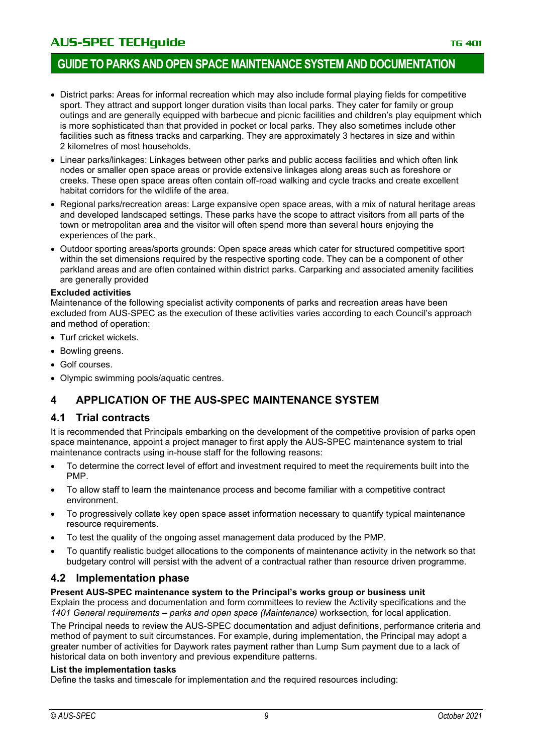### **GUIDE TO PARKS AND OPEN SPACE MAINTENANCE SYSTEM AND DOCUMENTATION**

- District parks: Areas for informal recreation which may also include formal playing fields for competitive sport. They attract and support longer duration visits than local parks. They cater for family or group outings and are generally equipped with barbecue and picnic facilities and children's play equipment which is more sophisticated than that provided in pocket or local parks. They also sometimes include other facilities such as fitness tracks and carparking. They are approximately 3 hectares in size and within 2 kilometres of most households.
- Linear parks/linkages: Linkages between other parks and public access facilities and which often link nodes or smaller open space areas or provide extensive linkages along areas such as foreshore or creeks. These open space areas often contain off-road walking and cycle tracks and create excellent habitat corridors for the wildlife of the area.
- Regional parks/recreation areas: Large expansive open space areas, with a mix of natural heritage areas and developed landscaped settings. These parks have the scope to attract visitors from all parts of the town or metropolitan area and the visitor will often spend more than several hours enjoying the experiences of the park.
- Outdoor sporting areas/sports grounds: Open space areas which cater for structured competitive sport within the set dimensions required by the respective sporting code. They can be a component of other parkland areas and are often contained within district parks. Carparking and associated amenity facilities are generally provided

#### **Excluded activities**

Maintenance of the following specialist activity components of parks and recreation areas have been excluded from AUS-SPEC as the execution of these activities varies according to each Council's approach and method of operation:

- Turf cricket wickets.
- Bowling greens.
- Golf courses.
- Olympic swimming pools/aquatic centres.

### **4 APPLICATION OF THE AUS-SPEC MAINTENANCE SYSTEM**

#### **4.1 Trial contracts**

It is recommended that Principals embarking on the development of the competitive provision of parks open space maintenance, appoint a project manager to first apply the AUS-SPEC maintenance system to trial maintenance contracts using in-house staff for the following reasons:

- To determine the correct level of effort and investment required to meet the requirements built into the PMP.
- To allow staff to learn the maintenance process and become familiar with a competitive contract environment.
- To progressively collate key open space asset information necessary to quantify typical maintenance resource requirements.
- To test the quality of the ongoing asset management data produced by the PMP.
- To quantify realistic budget allocations to the components of maintenance activity in the network so that budgetary control will persist with the advent of a contractual rather than resource driven programme.

#### **4.2 Implementation phase**

#### **Present AUS-SPEC maintenance system to the Principal's works group or business unit**

Explain the process and documentation and form committees to review the Activity specifications and the *1401 General requirements – parks and open space (Maintenance)* worksection*,* for local application.

The Principal needs to review the AUS-SPEC documentation and adjust definitions, performance criteria and method of payment to suit circumstances. For example, during implementation, the Principal may adopt a greater number of activities for Daywork rates payment rather than Lump Sum payment due to a lack of historical data on both inventory and previous expenditure patterns.

#### **List the implementation tasks**

Define the tasks and timescale for implementation and the required resources including: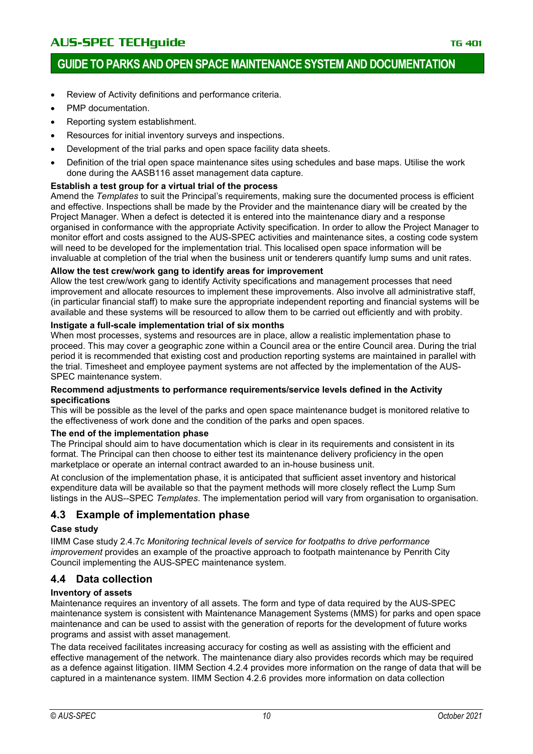- Review of Activity definitions and performance criteria.
- PMP documentation.
- Reporting system establishment.
- Resources for initial inventory surveys and inspections.
- Development of the trial parks and open space facility data sheets.
- Definition of the trial open space maintenance sites using schedules and base maps. Utilise the work done during the AASB116 asset management data capture.

#### **Establish a test group for a virtual trial of the process**

Amend the *Templates* to suit the Principal's requirements, making sure the documented process is efficient and effective. Inspections shall be made by the Provider and the maintenance diary will be created by the Project Manager. When a defect is detected it is entered into the maintenance diary and a response organised in conformance with the appropriate Activity specification. In order to allow the Project Manager to monitor effort and costs assigned to the AUS-SPEC activities and maintenance sites, a costing code system will need to be developed for the implementation trial. This localised open space information will be invaluable at completion of the trial when the business unit or tenderers quantify lump sums and unit rates.

#### **Allow the test crew/work gang to identify areas for improvement**

Allow the test crew/work gang to identify Activity specifications and management processes that need improvement and allocate resources to implement these improvements. Also involve all administrative staff, (in particular financial staff) to make sure the appropriate independent reporting and financial systems will be available and these systems will be resourced to allow them to be carried out efficiently and with probity.

#### **Instigate a full-scale implementation trial of six months**

When most processes, systems and resources are in place, allow a realistic implementation phase to proceed. This may cover a geographic zone within a Council area or the entire Council area. During the trial period it is recommended that existing cost and production reporting systems are maintained in parallel with the trial. Timesheet and employee payment systems are not affected by the implementation of the AUS-SPEC maintenance system.

#### **Recommend adjustments to performance requirements/service levels defined in the Activity specifications**

This will be possible as the level of the parks and open space maintenance budget is monitored relative to the effectiveness of work done and the condition of the parks and open spaces.

#### **The end of the implementation phase**

The Principal should aim to have documentation which is clear in its requirements and consistent in its format. The Principal can then choose to either test its maintenance delivery proficiency in the open marketplace or operate an internal contract awarded to an in-house business unit.

At conclusion of the implementation phase, it is anticipated that sufficient asset inventory and historical expenditure data will be available so that the payment methods will more closely reflect the Lump Sum listings in the AUS--SPEC *Templates*. The implementation period will vary from organisation to organisation.

### **4.3 Example of implementation phase**

#### **Case study**

IIMM Case study 2.4.7c *Monitoring technical levels of service for footpaths to drive performance improvement* provides an example of the proactive approach to footpath maintenance by Penrith City Council implementing the AUS-SPEC maintenance system.

### **4.4 Data collection**

#### **Inventory of assets**

Maintenance requires an inventory of all assets. The form and type of data required by the AUS-SPEC maintenance system is consistent with Maintenance Management Systems (MMS) for parks and open space maintenance and can be used to assist with the generation of reports for the development of future works programs and assist with asset management.

The data received facilitates increasing accuracy for costing as well as assisting with the efficient and effective management of the network. The maintenance diary also provides records which may be required as a defence against litigation. IIMM Section 4.2.4 provides more information on the range of data that will be captured in a maintenance system. IIMM Section 4.2.6 provides more information on data collection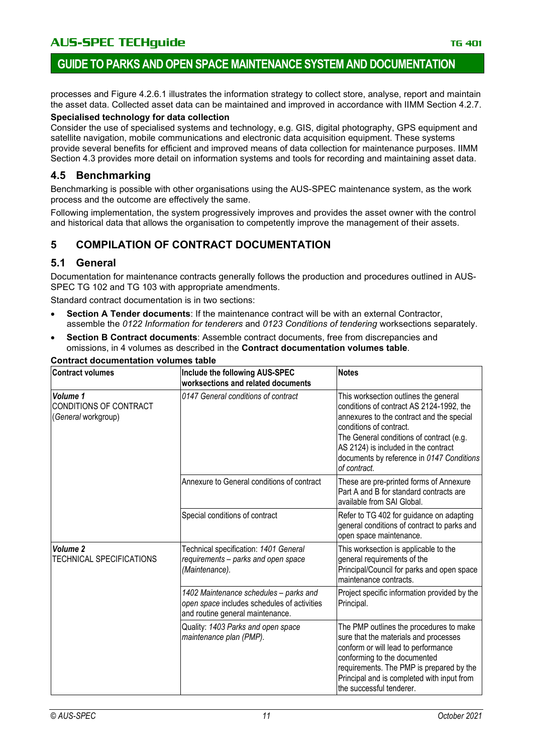### **GUIDE TO PARKS AND OPEN SPACE MAINTENANCE SYSTEM AND DOCUMENTATION**

processes and Figure 4.2.6.1 illustrates the information strategy to collect store, analyse, report and maintain the asset data. Collected asset data can be maintained and improved in accordance with IIMM Section 4.2.7.

#### **Specialised technology for data collection**

Consider the use of specialised systems and technology, e.g. GIS, digital photography, GPS equipment and satellite navigation, mobile communications and electronic data acquisition equipment. These systems provide several benefits for efficient and improved means of data collection for maintenance purposes. IIMM Section 4.3 provides more detail on information systems and tools for recording and maintaining asset data.

#### **4.5 Benchmarking**

Benchmarking is possible with other organisations using the AUS-SPEC maintenance system, as the work process and the outcome are effectively the same.

Following implementation, the system progressively improves and provides the asset owner with the control and historical data that allows the organisation to competently improve the management of their assets.

### **5 COMPILATION OF CONTRACT DOCUMENTATION**

#### **5.1 General**

Documentation for maintenance contracts generally follows the production and procedures outlined in AUS-SPEC TG 102 and TG 103 with appropriate amendments.

Standard contract documentation is in two sections:

- **Section A Tender documents**: If the maintenance contract will be with an external Contractor, assemble the *0122 Information for tenderers* and *0123 Conditions of tendering* worksections separately.
- **Section B Contract documents**: Assemble contract documents, free from discrepancies and omissions, in 4 volumes as described in the **Contract documentation volumes table**.

| <b>Contract volumes</b>                                   | Include the following AUS-SPEC<br>worksections and related documents                                                      | <b>Notes</b>                                                                                                                                                                                                                                                                                               |
|-----------------------------------------------------------|---------------------------------------------------------------------------------------------------------------------------|------------------------------------------------------------------------------------------------------------------------------------------------------------------------------------------------------------------------------------------------------------------------------------------------------------|
| Volume 1<br>CONDITIONS OF CONTRACT<br>(General workgroup) | 0147 General conditions of contract                                                                                       | This worksection outlines the general<br>conditions of contract AS 2124-1992, the<br>annexures to the contract and the special<br>conditions of contract.<br>The General conditions of contract (e.g.<br>AS 2124) is included in the contract<br>documents by reference in 0147 Conditions<br>of contract. |
|                                                           | Annexure to General conditions of contract                                                                                | These are pre-printed forms of Annexure<br>Part A and B for standard contracts are<br>available from SAI Global.                                                                                                                                                                                           |
|                                                           | Special conditions of contract                                                                                            | Refer to TG 402 for guidance on adapting<br>general conditions of contract to parks and<br>open space maintenance.                                                                                                                                                                                         |
| Volume 2<br><b>TECHNICAL SPECIFICATIONS</b>               | Technical specification: 1401 General<br>requirements - parks and open space<br>(Maintenance).                            | This worksection is applicable to the<br>general requirements of the<br>Principal/Council for parks and open space<br>maintenance contracts.                                                                                                                                                               |
|                                                           | 1402 Maintenance schedules - parks and<br>open space includes schedules of activities<br>and routine general maintenance. | Project specific information provided by the<br>Principal.                                                                                                                                                                                                                                                 |
|                                                           | Quality: 1403 Parks and open space<br>maintenance plan (PMP).                                                             | The PMP outlines the procedures to make<br>sure that the materials and processes<br>conform or will lead to performance<br>conforming to the documented<br>requirements. The PMP is prepared by the<br>Principal and is completed with input from<br>the successful tenderer.                              |

#### **Contract documentation volumes table**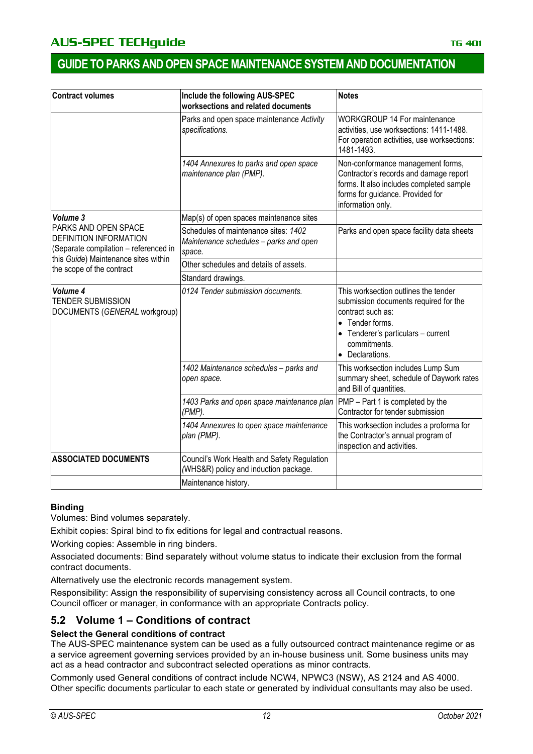| <b>Contract volumes</b>                                                                        | Include the following AUS-SPEC<br>worksections and related documents                     | <b>Notes</b>                                                                                                                                                                                 |  |
|------------------------------------------------------------------------------------------------|------------------------------------------------------------------------------------------|----------------------------------------------------------------------------------------------------------------------------------------------------------------------------------------------|--|
|                                                                                                | Parks and open space maintenance Activity<br>specifications.                             | <b>WORKGROUP 14 For maintenance</b><br>activities, use worksections: 1411-1488.<br>For operation activities, use worksections:<br>1481-1493.                                                 |  |
|                                                                                                | 1404 Annexures to parks and open space<br>maintenance plan (PMP).                        | Non-conformance management forms,<br>Contractor's records and damage report<br>forms. It also includes completed sample<br>forms for guidance. Provided for<br>information only.             |  |
| Volume 3                                                                                       | Map(s) of open spaces maintenance sites                                                  |                                                                                                                                                                                              |  |
| PARKS AND OPEN SPACE<br><b>DEFINITION INFORMATION</b><br>(Separate compilation - referenced in | Schedules of maintenance sites: 1402<br>Maintenance schedules - parks and open<br>space. | Parks and open space facility data sheets                                                                                                                                                    |  |
| this Guide) Maintenance sites within<br>the scope of the contract                              | Other schedules and details of assets.                                                   |                                                                                                                                                                                              |  |
|                                                                                                | Standard drawings.                                                                       |                                                                                                                                                                                              |  |
| Volume 4<br><b>TENDER SUBMISSION</b><br>DOCUMENTS (GENERAL workgroup)                          | 0124 Tender submission documents.                                                        | This worksection outlines the tender<br>submission documents required for the<br>contract such as:<br>• Tender forms.<br>Tenderer's particulars - current<br>commitments.<br>• Declarations. |  |
|                                                                                                | 1402 Maintenance schedules - parks and<br>open space.                                    | This worksection includes Lump Sum<br>summary sheet, schedule of Daywork rates<br>and Bill of quantities.                                                                                    |  |
|                                                                                                | 1403 Parks and open space maintenance plan<br>(PMP).                                     | PMP - Part 1 is completed by the<br>Contractor for tender submission                                                                                                                         |  |
|                                                                                                | 1404 Annexures to open space maintenance<br>plan (PMP).                                  | This worksection includes a proforma for<br>the Contractor's annual program of<br>inspection and activities.                                                                                 |  |
| <b>ASSOCIATED DOCUMENTS</b>                                                                    | Council's Work Health and Safety Regulation<br>(WHS&R) policy and induction package.     |                                                                                                                                                                                              |  |
|                                                                                                | Maintenance history.                                                                     |                                                                                                                                                                                              |  |

#### **Binding**

Volumes: Bind volumes separately.

Exhibit copies: Spiral bind to fix editions for legal and contractual reasons.

Working copies: Assemble in ring binders.

Associated documents: Bind separately without volume status to indicate their exclusion from the formal contract documents.

Alternatively use the electronic records management system.

Responsibility: Assign the responsibility of supervising consistency across all Council contracts, to one Council officer or manager, in conformance with an appropriate Contracts policy.

### **5.2 Volume 1 – Conditions of contract**

#### **Select the General conditions of contract**

The AUS-SPEC maintenance system can be used as a fully outsourced contract maintenance regime or as a service agreement governing services provided by an in-house business unit. Some business units may act as a head contractor and subcontract selected operations as minor contracts.

Commonly used General conditions of contract include NCW4, NPWC3 (NSW), AS 2124 and AS 4000. Other specific documents particular to each state or generated by individual consultants may also be used.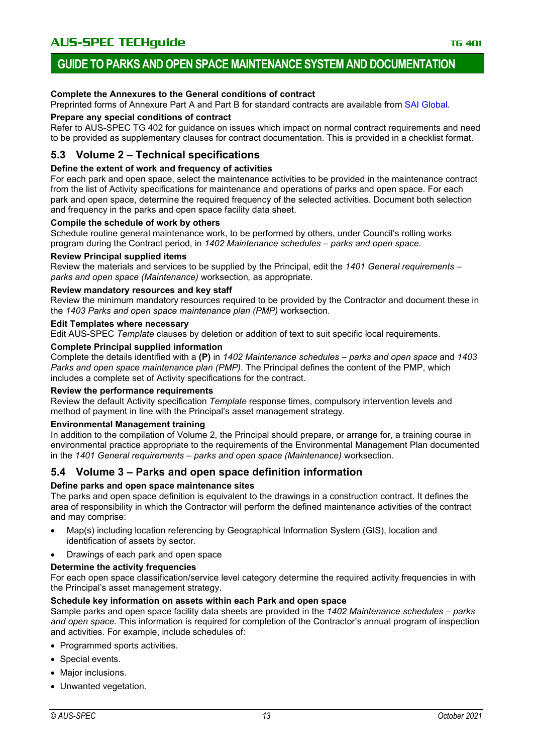#### **Complete the Annexures to the General conditions of contract**

Preprinted forms of Annexure Part A and Part B for standard contracts are available from [SAI Global.](http://infostore.saiglobal.com/store/)

#### **Prepare any special conditions of contract**

Refer to AUS-SPEC TG 402 for guidance on issues which impact on normal contract requirements and need to be provided as supplementary clauses for contract documentation. This is provided in a checklist format.

#### **5.3 Volume 2 – Technical specifications**

#### **Define the extent of work and frequency of activities**

For each park and open space, select the maintenance activities to be provided in the maintenance contract from the list of Activity specifications for maintenance and operations of parks and open space. For each park and open space, determine the required frequency of the selected activities. Document both selection and frequency in the parks and open space facility data sheet.

#### **Compile the schedule of work by others**

Schedule routine general maintenance work, to be performed by others, under Council's rolling works program during the Contract period, in *1402 Maintenance schedules – parks and open space.*

#### **Review Principal supplied items**

Review the materials and services to be supplied by the Principal, edit the *1401 General requirements – parks and open space (Maintenance)* worksection*,* as appropriate.

#### **Review mandatory resources and key staff**

Review the minimum mandatory resources required to be provided by the Contractor and document these in the *1403 Parks and open space maintenance plan (PMP)* worksection*.*

#### **Edit Templates where necessary**

Edit AUS-SPEC *Template* clauses by deletion or addition of text to suit specific local requirements.

#### **Complete Principal supplied information**

Complete the details identified with a **(P)** in *1402 Maintenance schedules – parks and open space* and *1403 Parks and open space maintenance plan (PMP)*. The Principal defines the content of the PMP, which includes a complete set of Activity specifications for the contract.

#### **Review the performance requirements**

Review the default Activity specification *Template* response times, compulsory intervention levels and method of payment in line with the Principal's asset management strategy.

#### **Environmental Management training**

In addition to the compilation of Volume 2, the Principal should prepare, or arrange for, a training course in environmental practice appropriate to the requirements of the Environmental Management Plan documented in the *1401 General requirements – parks and open space (Maintenance)* worksection.

#### **5.4 Volume 3 – Parks and open space definition information**

#### **Define parks and open space maintenance sites**

The parks and open space definition is equivalent to the drawings in a construction contract. It defines the area of responsibility in which the Contractor will perform the defined maintenance activities of the contract and may comprise:

- Map(s) including location referencing by Geographical Information System (GIS), location and identification of assets by sector.
- Drawings of each park and open space

#### **Determine the activity frequencies**

For each open space classification/service level category determine the required activity frequencies in with the Principal's asset management strategy.

#### **Schedule key information on assets within each Park and open space**

Sample parks and open space facility data sheets are provided in the *1402 Maintenance schedules – parks and open space.* This information is required for completion of the Contractor's annual program of inspection and activities. For example, include schedules of:

- Programmed sports activities.
- Special events.
- Major inclusions.
- Unwanted vegetation.